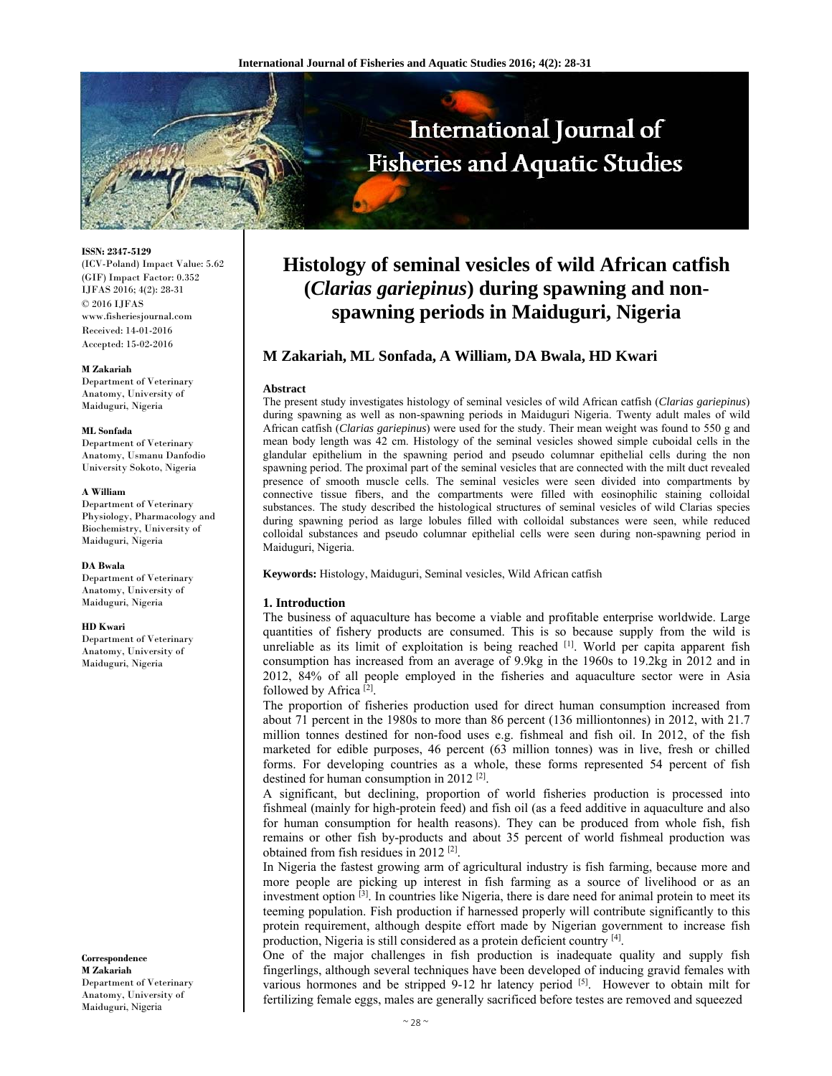

**ISSN: 2347-5129**  (ICV-Poland) Impact Value: 5.62 (GIF) Impact Factor: 0.352 IJFAS 2016; 4(2): 28-31  $\odot$  2016 IJFAS www.fisheriesjournal.com Received: 14-01-2016 Accepted: 15-02-2016

### **M Zakariah**

Department of Veterinary Anatomy, University of Maiduguri, Nigeria

### **ML Sonfada**

Department of Veterinary Anatomy, Usmanu Danfodio University Sokoto, Nigeria

## **A William**

Department of Veterinary Physiology, Pharmacology and Biochemistry, University of Maiduguri, Nigeria

**DA Bwala**  Department of Veterinary Anatomy, University of Maiduguri, Nigeria

### **HD Kwari**

Department of Veterinary Anatomy, University of Maiduguri, Nigeria

**Correspondence M Zakariah**  Department of Veterinary Anatomy, University of Maiduguri, Nigeria

# **Histology of seminal vesicles of wild African catfish (***Clarias gariepinus***) during spawning and nonspawning periods in Maiduguri, Nigeria**

# **M Zakariah, ML Sonfada, A William, DA Bwala, HD Kwari**

## **Abstract**

The present study investigates histology of seminal vesicles of wild African catfish (*Clarias gariepinus*) during spawning as well as non-spawning periods in Maiduguri Nigeria. Twenty adult males of wild African catfish (*Clarias gariepinus*) were used for the study. Their mean weight was found to 550 g and mean body length was 42 cm. Histology of the seminal vesicles showed simple cuboidal cells in the glandular epithelium in the spawning period and pseudo columnar epithelial cells during the non spawning period. The proximal part of the seminal vesicles that are connected with the milt duct revealed presence of smooth muscle cells. The seminal vesicles were seen divided into compartments by connective tissue fibers, and the compartments were filled with eosinophilic staining colloidal substances. The study described the histological structures of seminal vesicles of wild Clarias species during spawning period as large lobules filled with colloidal substances were seen, while reduced colloidal substances and pseudo columnar epithelial cells were seen during non-spawning period in Maiduguri, Nigeria.

**Keywords:** Histology, Maiduguri, Seminal vesicles, Wild African catfish

# **1. Introduction**

The business of aquaculture has become a viable and profitable enterprise worldwide. Large quantities of fishery products are consumed. This is so because supply from the wild is unreliable as its limit of exploitation is being reached [1]. World per capita apparent fish consumption has increased from an average of 9.9kg in the 1960s to 19.2kg in 2012 and in 2012, 84% of all people employed in the fisheries and aquaculture sector were in Asia followed by Africa [2].

The proportion of fisheries production used for direct human consumption increased from about 71 percent in the 1980s to more than 86 percent (136 milliontonnes) in 2012, with 21.7 million tonnes destined for non-food uses e.g. fishmeal and fish oil. In 2012, of the fish marketed for edible purposes, 46 percent (63 million tonnes) was in live, fresh or chilled forms. For developing countries as a whole, these forms represented 54 percent of fish destined for human consumption in 2012 [2].

A significant, but declining, proportion of world fisheries production is processed into fishmeal (mainly for high-protein feed) and fish oil (as a feed additive in aquaculture and also for human consumption for health reasons). They can be produced from whole fish, fish remains or other fish by-products and about 35 percent of world fishmeal production was obtained from fish residues in 2012 [2].

In Nigeria the fastest growing arm of agricultural industry is fish farming, because more and more people are picking up interest in fish farming as a source of livelihood or as an investment option  $\left[3\right]$ . In countries like Nigeria, there is dare need for animal protein to meet its teeming population. Fish production if harnessed properly will contribute significantly to this protein requirement, although despite effort made by Nigerian government to increase fish production, Nigeria is still considered as a protein deficient country [4].

One of the major challenges in fish production is inadequate quality and supply fish fingerlings, although several techniques have been developed of inducing gravid females with various hormones and be stripped 9-12 hr latency period [5]. However to obtain milt for fertilizing female eggs, males are generally sacrificed before testes are removed and squeezed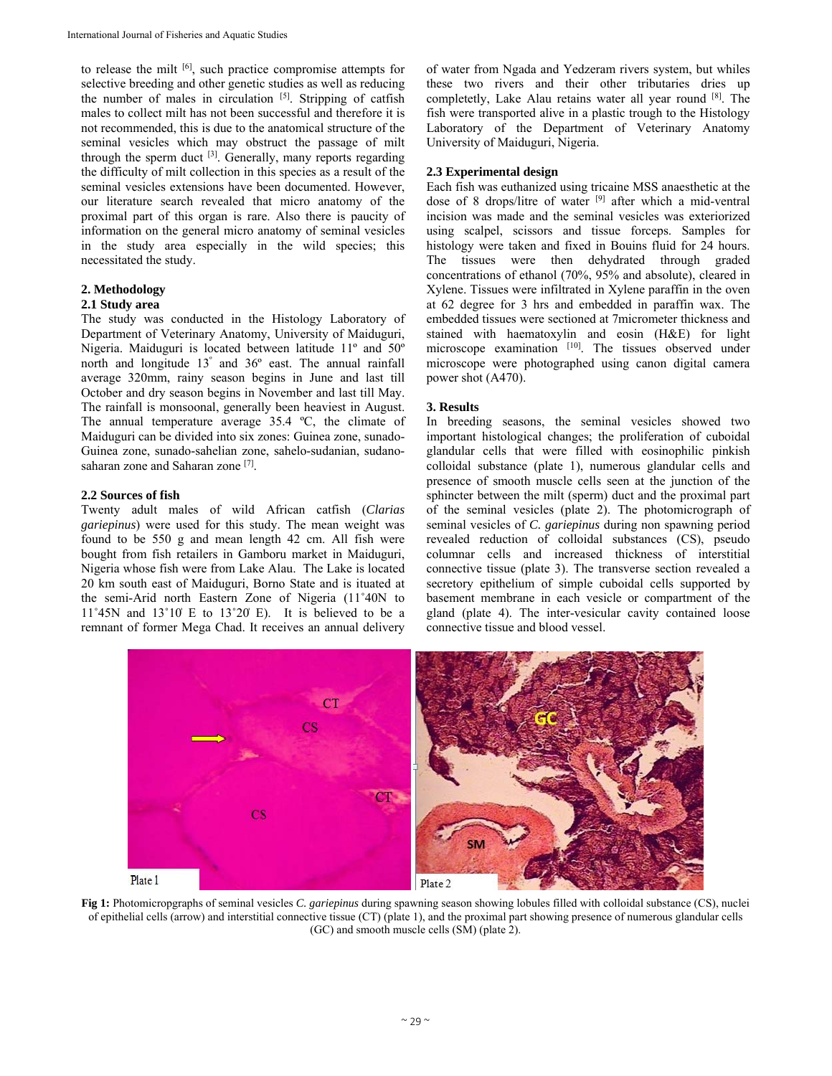to release the milt [6], such practice compromise attempts for selective breeding and other genetic studies as well as reducing the number of males in circulation  $[5]$ . Stripping of catfish males to collect milt has not been successful and therefore it is not recommended, this is due to the anatomical structure of the seminal vesicles which may obstruct the passage of milt through the sperm duct  $[3]$ . Generally, many reports regarding the difficulty of milt collection in this species as a result of the seminal vesicles extensions have been documented. However, our literature search revealed that micro anatomy of the proximal part of this organ is rare. Also there is paucity of information on the general micro anatomy of seminal vesicles in the study area especially in the wild species; this necessitated the study.

# **2. Methodology**

# **2.1 Study area**

The study was conducted in the Histology Laboratory of Department of Veterinary Anatomy, University of Maiduguri, Nigeria. Maiduguri is located between latitude 11º and 50º north and longitude 13° and 36° east. The annual rainfall average 320mm, rainy season begins in June and last till October and dry season begins in November and last till May. The rainfall is monsoonal, generally been heaviest in August. The annual temperature average 35.4 ºC, the climate of Maiduguri can be divided into six zones: Guinea zone, sunado-Guinea zone, sunado-sahelian zone, sahelo-sudanian, sudanosaharan zone and Saharan zone [7].

# **2.2 Sources of fish**

Twenty adult males of wild African catfish (*Clarias gariepinus*) were used for this study. The mean weight was found to be 550 g and mean length 42 cm. All fish were bought from fish retailers in Gamboru market in Maiduguri, Nigeria whose fish were from Lake Alau. The Lake is located 20 km south east of Maiduguri, Borno State and is ituated at the semi-Arid north Eastern Zone of Nigeria (11˚40N to  $11°45N$  and  $13°10'E$  to  $13°20'E$ ). It is believed to be a remnant of former Mega Chad. It receives an annual delivery

of water from Ngada and Yedzeram rivers system, but whiles these two rivers and their other tributaries dries up completetly, Lake Alau retains water all year round [8]. The fish were transported alive in a plastic trough to the Histology Laboratory of the Department of Veterinary Anatomy University of Maiduguri, Nigeria.

# **2.3 Experimental design**

Each fish was euthanized using tricaine MSS anaesthetic at the dose of 8 drops/litre of water [9] after which a mid-ventral incision was made and the seminal vesicles was exteriorized using scalpel, scissors and tissue forceps. Samples for histology were taken and fixed in Bouins fluid for 24 hours. The tissues were then dehydrated through graded concentrations of ethanol (70%, 95% and absolute), cleared in Xylene. Tissues were infiltrated in Xylene paraffin in the oven at 62 degree for 3 hrs and embedded in paraffin wax. The embedded tissues were sectioned at 7micrometer thickness and stained with haematoxylin and eosin (H&E) for light microscope examination [10]. The tissues observed under microscope were photographed using canon digital camera power shot (A470).

# **3. Results**

In breeding seasons, the seminal vesicles showed two important histological changes; the proliferation of cuboidal glandular cells that were filled with eosinophilic pinkish colloidal substance (plate 1), numerous glandular cells and presence of smooth muscle cells seen at the junction of the sphincter between the milt (sperm) duct and the proximal part of the seminal vesicles (plate 2). The photomicrograph of seminal vesicles of *C. gariepinus* during non spawning period revealed reduction of colloidal substances (CS), pseudo columnar cells and increased thickness of interstitial connective tissue (plate 3). The transverse section revealed a secretory epithelium of simple cuboidal cells supported by basement membrane in each vesicle or compartment of the gland (plate 4). The inter-vesicular cavity contained loose connective tissue and blood vessel.



**Fig 1:** Photomicropgraphs of seminal vesicles *C. gariepinus* during spawning season showing lobules filled with colloidal substance (CS), nuclei of epithelial cells (arrow) and interstitial connective tissue (CT) (plate 1), and the proximal part showing presence of numerous glandular cells (GC) and smooth muscle cells (SM) (plate 2).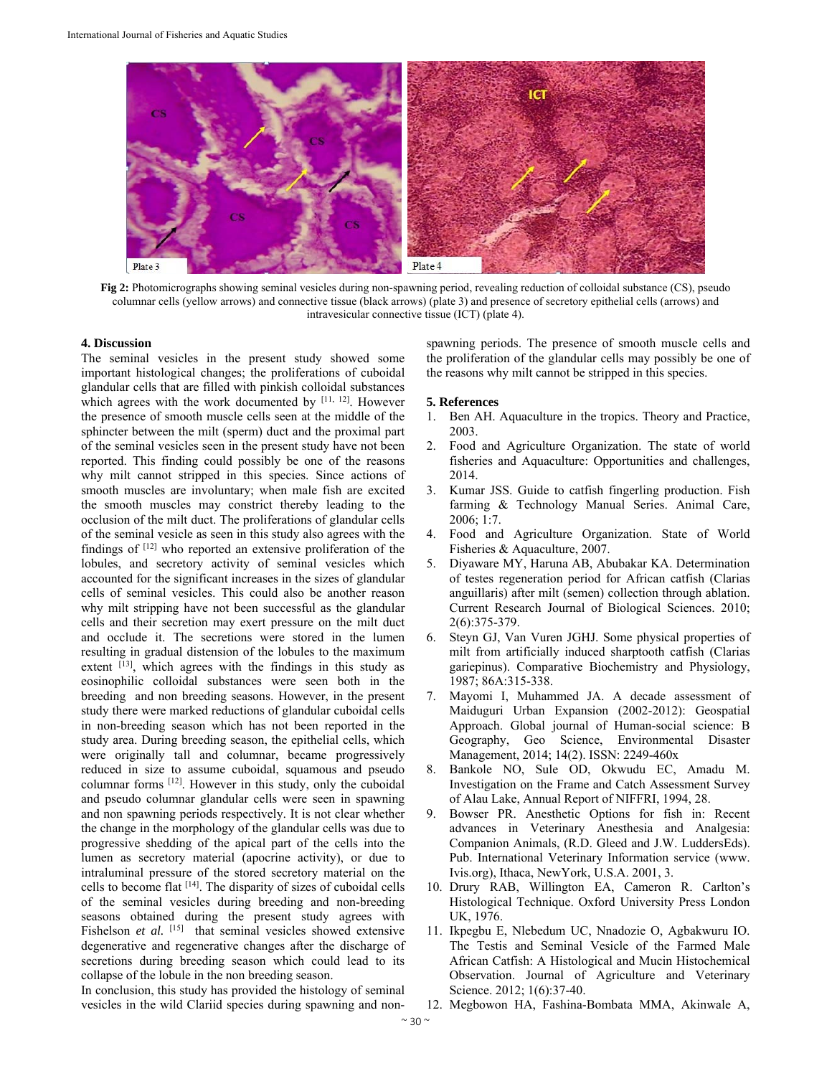

**Fig 2:** Photomicrographs showing seminal vesicles during non-spawning period, revealing reduction of colloidal substance (CS), pseudo columnar cells (yellow arrows) and connective tissue (black arrows) (plate 3) and presence of secretory epithelial cells (arrows) and intravesicular connective tissue (ICT) (plate 4).

## **4. Discussion**

The seminal vesicles in the present study showed some important histological changes; the proliferations of cuboidal glandular cells that are filled with pinkish colloidal substances which agrees with the work documented by  $[11, 12]$ . However the presence of smooth muscle cells seen at the middle of the sphincter between the milt (sperm) duct and the proximal part of the seminal vesicles seen in the present study have not been reported. This finding could possibly be one of the reasons why milt cannot stripped in this species. Since actions of smooth muscles are involuntary; when male fish are excited the smooth muscles may constrict thereby leading to the occlusion of the milt duct. The proliferations of glandular cells of the seminal vesicle as seen in this study also agrees with the findings of  $[12]$  who reported an extensive proliferation of the lobules, and secretory activity of seminal vesicles which accounted for the significant increases in the sizes of glandular cells of seminal vesicles. This could also be another reason why milt stripping have not been successful as the glandular cells and their secretion may exert pressure on the milt duct and occlude it. The secretions were stored in the lumen resulting in gradual distension of the lobules to the maximum extent  $[13]$ , which agrees with the findings in this study as eosinophilic colloidal substances were seen both in the breeding and non breeding seasons. However, in the present study there were marked reductions of glandular cuboidal cells in non-breeding season which has not been reported in the study area. During breeding season, the epithelial cells, which were originally tall and columnar, became progressively reduced in size to assume cuboidal, squamous and pseudo columnar forms [12]. However in this study, only the cuboidal and pseudo columnar glandular cells were seen in spawning and non spawning periods respectively. It is not clear whether the change in the morphology of the glandular cells was due to progressive shedding of the apical part of the cells into the lumen as secretory material (apocrine activity), or due to intraluminal pressure of the stored secretory material on the cells to become flat [14]. The disparity of sizes of cuboidal cells of the seminal vesicles during breeding and non-breeding seasons obtained during the present study agrees with Fishelson *et al.* [15] that seminal vesicles showed extensive degenerative and regenerative changes after the discharge of secretions during breeding season which could lead to its collapse of the lobule in the non breeding season.

In conclusion, this study has provided the histology of seminal vesicles in the wild Clariid species during spawning and nonspawning periods. The presence of smooth muscle cells and the proliferation of the glandular cells may possibly be one of the reasons why milt cannot be stripped in this species.

## **5. References**

- 1. Ben AH. Aquaculture in the tropics. Theory and Practice, 2003.
- 2. Food and Agriculture Organization. The state of world fisheries and Aquaculture: Opportunities and challenges, 2014.
- 3. Kumar JSS. Guide to catfish fingerling production. Fish farming & Technology Manual Series. Animal Care, 2006; 1:7.
- 4. Food and Agriculture Organization. State of World Fisheries & Aquaculture, 2007.
- 5. Diyaware MY, Haruna AB, Abubakar KA. Determination of testes regeneration period for African catfish (Clarias anguillaris) after milt (semen) collection through ablation. Current Research Journal of Biological Sciences. 2010; 2(6):375-379.
- 6. Steyn GJ, Van Vuren JGHJ. Some physical properties of milt from artificially induced sharptooth catfish (Clarias gariepinus). Comparative Biochemistry and Physiology, 1987; 86A:315-338.
- 7. Mayomi I, Muhammed JA. A decade assessment of Maiduguri Urban Expansion (2002-2012): Geospatial Approach. Global journal of Human-social science: B Geography, Geo Science, Environmental Disaster Management, 2014; 14(2). ISSN: 2249-460x
- 8. Bankole NO, Sule OD, Okwudu EC, Amadu M. Investigation on the Frame and Catch Assessment Survey of Alau Lake, Annual Report of NIFFRI, 1994, 28.
- 9. Bowser PR. Anesthetic Options for fish in: Recent advances in Veterinary Anesthesia and Analgesia: Companion Animals, (R.D. Gleed and J.W. LuddersEds). Pub. International Veterinary Information service (www. Ivis.org), Ithaca, NewYork, U.S.A. 2001, 3.
- 10. Drury RAB, Willington EA, Cameron R. Carlton's Histological Technique. Oxford University Press London UK, 1976.
- 11. Ikpegbu E, Nlebedum UC, Nnadozie O, Agbakwuru IO. The Testis and Seminal Vesicle of the Farmed Male African Catfish: A Histological and Mucin Histochemical Observation. Journal of Agriculture and Veterinary Science. 2012; 1(6):37-40.
- 12. Megbowon HA, Fashina-Bombata MMA, Akinwale A,